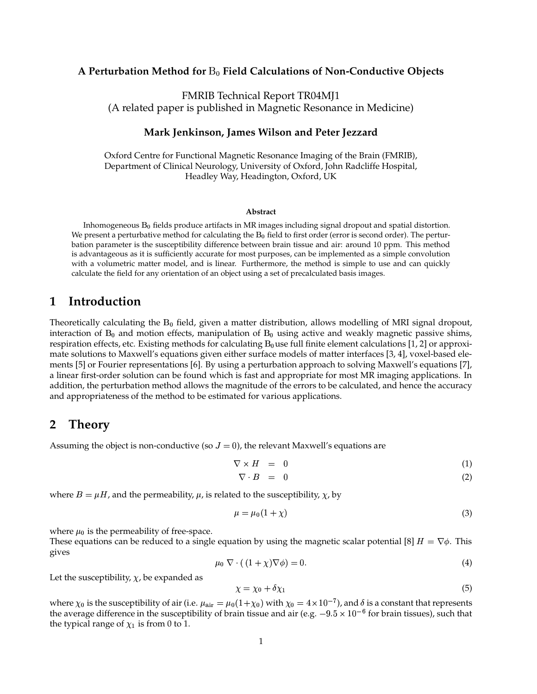## **A Perturbation Method for** - **Field Calculations of Non-Conductive Objects**

FMRIB Technical Report TR04MJ1 (A related paper is published in Magnetic Resonance in Medicine)

## **Mark Jenkinson, James Wilson and Peter Jezzard**

Oxford Centre for Functional Magnetic Resonance Imaging of the Brain (FMRIB), Department of Clinical Neurology, University of Oxford, John Radcliffe Hospital, Headley Way, Headington, Oxford, UK

### **Abstract**

Inhomogeneous  $B_0$  fields produce artifacts in MR images including signal dropout and spatial distortion. We present a perturbative method for calculating the  $B_0$  field to first order (error is second order). The perturbation parameter is the susceptibility difference between brain tissue and air: around 10 ppm. This method is advantageous as it is sufficiently accurate for most purposes, can be implemented as a simple convolution with a volumetric matter model, and is linear. Furthermore, the method is simple to use and can quickly calculate the field for any orientation of an object using a set of precalculated basis images.

## **1 Introduction**

Theoretically calculating the  $B_0$  field, given a matter distribution, allows modelling of MRI signal dropout, interaction of  $B_0$  and motion effects, manipulation of  $B_0$  using active and weakly magnetic passive shims, respiration effects, etc. Existing methods for calculating  $B_0$ use full finite element calculations [1, 2] or approximate solutions to Maxwell's equations given either surface models of matter interfaces [3, 4], voxel-based elements [5] or Fourier representations [6]. By using a perturbation approach to solving Maxwell's equations [7], a linear first-order solution can be found which is fast and appropriate for most MR imaging applications. In addition, the perturbation method allows the magnitude of the errors to be calculated, and hence the accuracy and appropriateness of the method to be estimated for various applications.

## **2 Theory**

Assuming the object is non-conductive (so  $J = 0$ ), the relevant Maxwell's equations are

$$
\nabla \times H = 0 \tag{1}
$$

$$
\nabla \cdot B = 0 \tag{2}
$$

where  $B = \mu H$ , and the permeability,  $\mu$ , is related to the susceptibility,  $\chi$ , by

$$
\mu = \mu_0 (1 + \chi) \tag{3}
$$

where  $\mu_0$  is the permeability of free-space.

These equations can be reduced to a single equation by using the magnetic scalar potential [8]  $H = \nabla \phi$ . This gives

$$
\mu_0 \nabla \cdot ((1+\chi)\nabla \phi) = 0. \tag{4}
$$

Let the susceptibility,  $\chi$ , be expanded as

$$
\chi = \chi_0 + \delta \chi_1 \tag{5}
$$

where  $\chi_0$  is the susceptibility of air (i.e.  $\mu_{\rm air}=\mu_0(1+\chi_0)$  with  $\chi_0=4\times10^{-7}$ ), and  $\delta$  is a constant that represents the average difference in the susceptibility of brain tissue and air (e.g.  $-9.5\times10^{-6}$  for brain tissues), such that the typical range of  $\chi_1$  is from 0 to 1.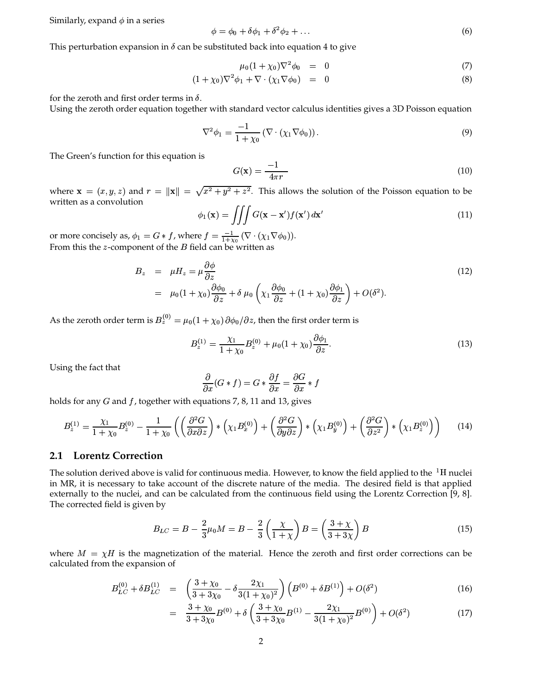Similarly, expand  $\phi$  in a series

$$
\phi = \phi_0 + \delta\phi_1 + \delta^2\phi_2 + \dots \tag{6}
$$

This perturbation expansion in  $\delta$  can be substituted back into equation 4 to give

$$
\mu_0 (1 + \chi_0) \nabla^2 \phi_0 = 0 \tag{7}
$$

$$
(1 + \chi_0)\nabla^2 \phi_1 + \nabla \cdot (\chi_1 \nabla \phi_0) = 0 \tag{8}
$$

for the zeroth and first order terms in  $\delta$ .

Using the zeroth order equation together with standard vector calculus identities gives a 3D Poisson equation

$$
\nabla^2 \phi_1 = \frac{-1}{1 + \chi_0} \left( \nabla \cdot (\chi_1 \nabla \phi_0) \right). \tag{9}
$$

The Green's function for this equation is

$$
G(\mathbf{x}) = \frac{-1}{4\pi r} \tag{10}
$$

where  $\mathbf{x} = (x, y, z)$  and  $r = ||\mathbf{x}|| = \sqrt{x^2 + y^2 + z^2}$ . This allows the solution of the Poisson equation to be written as a convolution

$$
\phi_1(\mathbf{x}) = \iiint G(\mathbf{x} - \mathbf{x}') f(\mathbf{x}') d\mathbf{x}' \tag{11}
$$

or more concisely as,  $\phi_1 = G * f$ , where  $f = \frac{-1}{1+\chi_0} (\nabla \cdot (\chi_1 \nabla \phi_0)).$ From this the *z*-component of the *B* field can be written as

$$
B_z = \mu H_z = \mu \frac{\partial \phi}{\partial z}
$$
  
=  $\mu_0 (1 + \chi_0) \frac{\partial \phi_0}{\partial z} + \delta \mu_0 \left( \chi_1 \frac{\partial \phi_0}{\partial z} + (1 + \chi_0) \frac{\partial \phi_1}{\partial z} \right) + O(\delta^2).$  (12)

As the zeroth order term is  $B_z^{(0)} = \mu_0 (1 + \chi_0) \partial \phi_0 / \partial z$ , then the first order term is

$$
B_z^{(1)} = \frac{\chi_1}{1 + \chi_0} B_z^{(0)} + \mu_0 (1 + \chi_0) \frac{\partial \phi_1}{\partial z}.
$$
 (13)

Using the fact that

$$
\frac{\partial}{\partial x}(G*f)=G*\frac{\partial f}{\partial x}=\frac{\partial G}{\partial x}*f
$$

holds for any  $G$  and  $f$ , together with equations 7, 8, 11 and 13, gives

$$
B_z^{(1)} = \frac{\chi_1}{1+\chi_0} B_z^{(0)} - \frac{1}{1+\chi_0} \left( \left( \frac{\partial^2 G}{\partial x \partial z} \right) \ast \left( \chi_1 B_x^{(0)} \right) + \left( \frac{\partial^2 G}{\partial y \partial z} \right) \ast \left( \chi_1 B_y^{(0)} \right) + \left( \frac{\partial^2 G}{\partial z^2} \right) \ast \left( \chi_1 B_z^{(0)} \right) \right) \tag{14}
$$

### 2.1 Lorentz Correction

The solution derived above is valid for continuous media. However, to know the field applied to the  ${}^{1}$ H nuclei in MR, it is necessary to take account of the discrete nature of the media. The desired field is that applied externally to the nuclei, and can be calculated from the continuous field using the Lorentz Correction [9, 8]. The corrected field is given by

$$
B_{LC} = B - \frac{2}{3}\mu_0 M = B - \frac{2}{3}\left(\frac{\chi}{1+\chi}\right)B = \left(\frac{3+\chi}{3+3\chi}\right)B
$$
\n(15)

where  $M = \chi H$  is the magnetization of the material. Hence the zeroth and first order corrections can be calculated from the expansion of

$$
B_{LC}^{(0)} + \delta B_{LC}^{(1)} = \left(\frac{3 + \chi_0}{3 + 3\chi_0} - \delta \frac{2\chi_1}{3(1 + \chi_0)^2}\right) \left(B^{(0)} + \delta B^{(1)}\right) + O(\delta^2)
$$
(16)

$$
= \frac{3 + \chi_0}{3 + 3\chi_0} B^{(0)} + \delta \left( \frac{3 + \chi_0}{3 + 3\chi_0} B^{(1)} - \frac{2\chi_1}{3(1 + \chi_0)^2} B^{(0)} \right) + O(\delta^2)
$$
(17)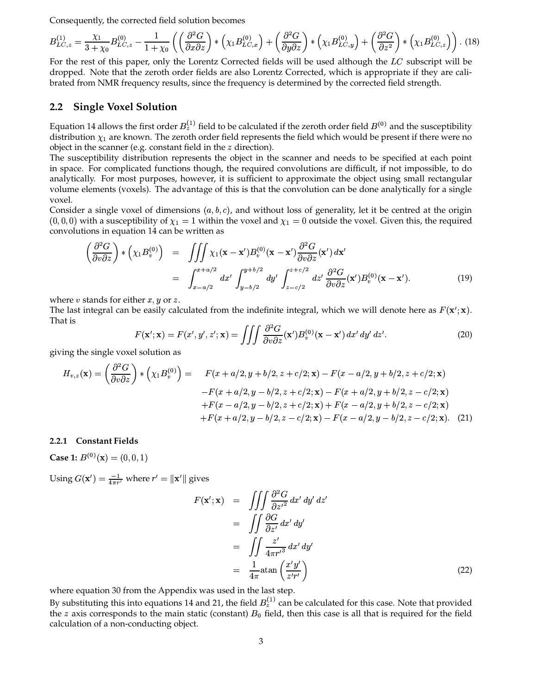Consequently, the corrected field solution becomes

$$
B_{LC,z}^{(1)} = \frac{\chi_1}{3+\chi_0} B_{LC,z}^{(0)} - \frac{1}{1+\chi_0} \left( \left( \frac{\partial^2 G}{\partial x \partial z} \right) * \left( \chi_1 B_{LC,x}^{(0)} \right) + \left( \frac{\partial^2 G}{\partial y \partial z} \right) * \left( \chi_1 B_{LC,y}^{(0)} \right) + \left( \frac{\partial^2 G}{\partial z^2} \right) * \left( \chi_1 B_{LC,z}^{(0)} \right) \right). \tag{18}
$$

For the rest of this paper, only the Lorentz Corrected fields will be used although the  $LC$  subscript will be dropped. Note that the zeroth order fields are also Lorentz Corrected, which is appropriate if they are calibrated from NMR frequency results, since the frequency is determined by the corrected field strength.

## **2.2 Single Voxel Solution**

Equation 14 allows the first order  $B_z^{(+)}$  field to be calculated if the zeroth order field  $B^{(0)}$  and the susceptibility distribution  $\chi_1$  are known. The zeroth order field represents the field which would be present if there were no object in the scanner (e.g. constant field in the  $\zeta$  direction).

The susceptibility distribution represents the object in the scanner and needs to be specified at each point in space. For complicated functions though, the required convolutions are difficult, if not impossible, to do analytically. For most purposes, however, it is sufficient to approximate the object using small rectangular volume elements (voxels). The advantage of this is that the convolution can be done analytically for a single voxel.

Consider a single voxel of dimensions  $(a, b, c)$ , and without loss of generality, let it be centred at the origin  $(0,0,0)$  with a susceptibility of  $\chi_1 = 1$  within the voxel and  $\chi_1 = 0$  outside the voxel. Given this, the required convolutions in equation 14 can be written as<br>  $\left(\begin{array}{cc} \partial^2 G \end{array}\right)$   $\left(\begin{array}{cc} -\omega \end{array}\right)$ 

$$
\left(\frac{\partial^2 G}{\partial v \partial z}\right)^{\ast} \left(\chi_1 B_v^{(0)}\right) = \iiint x_1(\mathbf{x} - \mathbf{x}')B_v^{(0)}(\mathbf{x} - \mathbf{x}') \frac{\partial^2 G}{\partial v \partial z}(\mathbf{x}') d\mathbf{x}'\n\n= \int_{x-a/2}^{x+a/2} dx' \int_{y-b/2}^{y+b/2} dy' \int_{z-c/2}^{z+c/2} dz' \frac{\partial^2 G}{\partial v \partial z}(\mathbf{x}')B_v^{(0)}(\mathbf{x} - \mathbf{x}').
$$
\n(19)

where  $v$  stands for either  $x,y$  or  $z$ .

The last integral can be easily calculated from the indefinite integral, which we will denote here as  $F(\mathbf{x}'; \mathbf{x})$ . That is

$$
F(\mathbf{x}'; \mathbf{x}) = F(x', y', z'; \mathbf{x}) = \iiint \frac{\partial^2 G}{\partial v \partial z}(\mathbf{x}') B_v^{(0)}(\mathbf{x} - \mathbf{x}') dx' dy' dz'.
$$
 (20)

giving the single voxel solution as

$$
H_{v,z}(\mathbf{x}) = \left(\frac{\partial^2 G}{\partial v \partial z}\right) * \left(\chi_1 B_v^{(0)}\right) = F(x + a/2, y + b/2, z + c/2; \mathbf{x}) - F(x - a/2, y + b/2, z + c/2; \mathbf{x})
$$
  
-F(x + a/2, y - b/2, z + c/2; \mathbf{x}) - F(x + a/2, y + b/2, z - c/2; \mathbf{x})  
+F(x - a/2, y - b/2, z + c/2; \mathbf{x}) + F(x - a/2, y + b/2, z - c/2; \mathbf{x})  
+F(x + a/2, y - b/2, z - c/2; \mathbf{x}) - F(x - a/2, y - b/2, z - c/2; \mathbf{x}). (21)

### **2.2.1 Constant Fields**

**Case 1:**  $B^{(0)}(\mathbf{x}) = (0, 0, 1)$ 

Using  $G(\mathbf{x}') = \frac{-1}{4\pi r'}$  where  $r' = ||\mathbf{x}'||$  gives

$$
F(\mathbf{x}'; \mathbf{x}) = \iiint \frac{\partial^2 G}{\partial z'^2} dx' dy' dz'
$$
  
= 
$$
\iint \frac{\partial G}{\partial z'} dx' dy'
$$
  
= 
$$
\iint \frac{z'}{4\pi r'^3} dx' dy'
$$
  
= 
$$
\frac{1}{4\pi} \text{atan} \left( \frac{x'y'}{z'r'} \right)
$$
 (22)

where equation 30 from the Appendix was used in the last step.

By substituting this into equations 14 and 21, the field  $B_z^{(1)}$  can be calculated for this case. Note that provided the z axis corresponds to the main static (constant)  $B_0$  field, then this case is all that is required for the field calculation of a non-conducting object.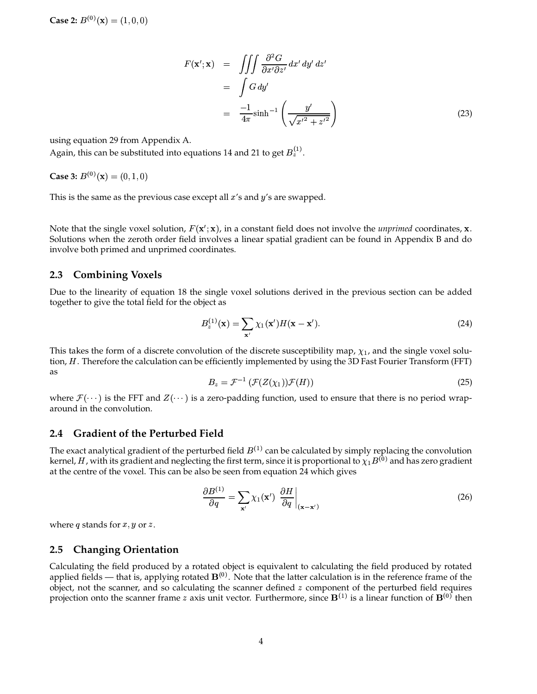**Case 2:**  $B^{(0)}(\mathbf{x}) = (1, 0, 0)$ 

$$
F(\mathbf{x}'; \mathbf{x}) = \iiint \frac{\partial^2 G}{\partial x' \partial z'} dx' dy' dz'
$$
  
= 
$$
\int G dy'
$$
  
= 
$$
\frac{-1}{4\pi} \sinh^{-1} \left( \frac{y'}{\sqrt{x'^2 + z'^2}} \right)
$$
(23)

using equation 29 from Appendix A.

Again, this can be substituted into equations 14 and 21 to get  $B_z^{(1)}$ .

**Case 3:**  $B^{(0)}(\mathbf{x}) = (0, 1, 0)$ 

This is the same as the previous case except all  $x'$ s and  $y'$ s are swapped.

Note that the single voxel solution,  $F(\mathbf{x}'; \mathbf{x})$ , in a constant field does not involve the *unprimed* coordinates, **x**. Solutions when the zeroth order field involves a linear spatial gradient can be found in Appendix B and do involve both primed and unprimed coordinates.

### **2.3 Combining Voxels**

Due to the linearity of equation 18 the single voxel solutions derived in the previous section can be added together to give the total field for the object as

$$
B_z^{(1)}(\mathbf{x}) = \sum_{\mathbf{x}'} \chi_1(\mathbf{x}') H(\mathbf{x} - \mathbf{x}'). \tag{24}
$$

This takes the form of a discrete convolution of the discrete susceptibility map,  $\chi_1$ , and the single voxel solution, H. Therefore the calculation can be efficiently implemented by using the 3D Fast Fourier Transform (FFT) as

$$
B_z = \mathcal{F}^{-1}\left(\mathcal{F}(Z(\chi_1))\mathcal{F}(H)\right) \tag{25}
$$

where  $\mathcal{F}(\cdots)$  is the FFT and  $\mathcal{Z}(\cdots)$  is a zero-padding function, used to ensure that there is no period wraparound in the convolution.

## **2.4 Gradient of the Perturbed Field**

The exact analytical gradient of the perturbed field  $B^{(1)}$  can be calculated by simply replacing the convolution kernel*, H ,* with its gradient and neglecting the first term, since it is proportional to  $\chi_1 B^{(0)}$  and has zero gradient at the centre of the voxel. This can be also be seen from equation 24 which gives

$$
\frac{\partial B^{(1)}}{\partial q} = \sum_{\mathbf{x}'} \chi_1(\mathbf{x}') \left. \frac{\partial H}{\partial q} \right|_{(\mathbf{x} - \mathbf{x}')}\n\tag{26}
$$

where  $q$  stands for  $x, y$  or  $z$ .

## **2.5 Changing Orientation**

Calculating the field produced by a rotated object is equivalent to calculating the field produced by rotated applied fields — that is, applying rotated  $\mathbf{B}^{(0)}$ . Note that the latter calculation is in the reference frame of the object, not the scanner, and so calculating the scanner defined  $z$  component of the perturbed field requires projection onto the scanner frame z axis unit vector. Furthermore, since  $\mathbf{B}^{(1)}$  is a linear function of  $\mathbf{B}^{(0)}$  then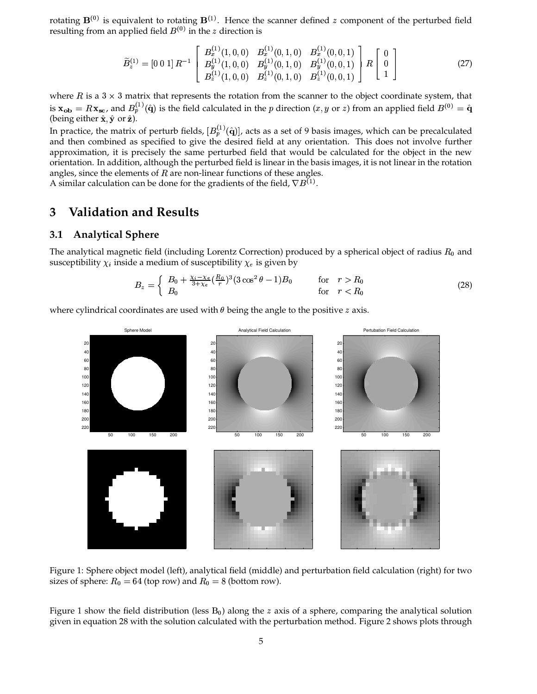rotating  $\mathbf{B}^{(0)}$  is equivalent to rotating  $\mathbf{B}^{(1)}$ . Hence the scanner defined z component of the perturbed field resulting from an applied field  $B^{(0)}$  in the z direction is

$$
\widetilde{B}_z^{(1)} = [0 \ 0 \ 1] \ R^{-1} \begin{bmatrix} B_x^{(1)}(1,0,0) & B_x^{(1)}(0,1,0) & B_x^{(1)}(0,0,1) \\ B_y^{(1)}(1,0,0) & B_y^{(1)}(0,1,0) & B_y^{(1)}(0,0,1) \\ B_z^{(1)}(1,0,0) & B_z^{(1)}(0,1,0) & B_z^{(1)}(0,0,1) \end{bmatrix} R \begin{bmatrix} 0 \\ 0 \\ 1 \end{bmatrix} \tag{27}
$$

where  $R$  is a  $3 \times 3$  matrix that represents the rotation from the scanner to the object coordinate system, that is  $\mathbf{x_{ob}} = R \mathbf{x_{sc}}$ , and  $B_p^{(1)}(\hat{\mathbf{q}})$  is the field calculated in the p direction  $(x, y \text{ or } z)$  from an applied field  $B^{(0)} = \hat{\mathbf{q}}$ (being either  $\hat{\mathbf{x}}$ ,  $\hat{\mathbf{y}}$  or  $\hat{\mathbf{z}}$ ).

In practice, the matrix of perturb fields,  $[B_p^{(1)}(\hat{\mathbf{q}})]$ , acts as a set of 9 basis images, which can be precalculated and then combined as specified to give the desired field at any orientation. This does not involve further approximation, it is precisely the same perturbed field that would be calculated for the object in the new orientation. In addition, although the perturbed field is linear in the basis images, it is not linear in the rotation angles, since the elements of  $R$  are non-linear functions of these angles.

A similar calculation can be done for the gradients of the field,  $\nabla B^{(1)}$ .

#### **Validation and Results** 3

#### **Analytical Sphere**  $3.1$

The analytical magnetic field (including Lorentz Correction) produced by a spherical object of radius  $R_0$  and susceptibility  $\chi_i$  inside a medium of susceptibility  $\chi_e$  is given by

$$
B_z = \begin{cases} B_0 + \frac{\chi_i - \chi_e}{3 + \chi_e} (\frac{R_0}{r})^3 (3 \cos^2 \theta - 1) B_0 & \text{for } r > R_0 \\ B_0 & \text{for } r < R_0 \end{cases}
$$
(28)

where cylindrical coordinates are used with  $\theta$  being the angle to the positive  $z$  axis.



Figure 1: Sphere object model (left), analytical field (middle) and perturbation field calculation (right) for two sizes of sphere:  $R_0 = 64$  (top row) and  $R_0 = 8$  (bottom row).

Figure 1 show the field distribution (less  $B_0$ ) along the z axis of a sphere, comparing the analytical solution given in equation 28 with the solution calculated with the perturbation method. Figure 2 shows plots through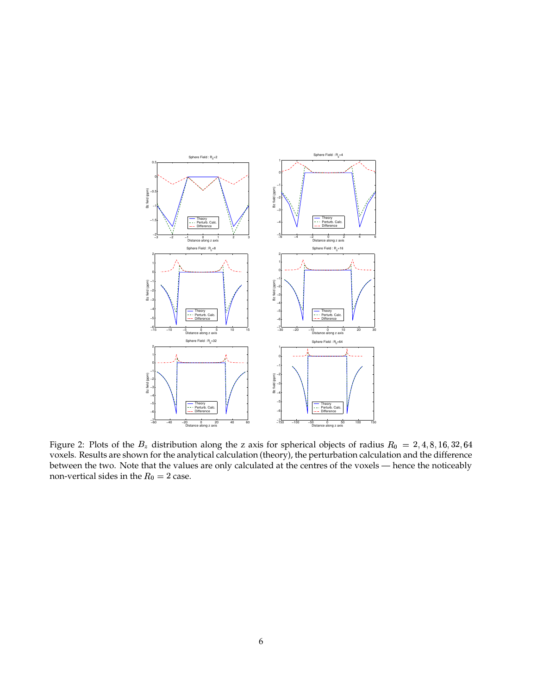

Figure 2: Plots of the  $B_z$  distribution along the z axis for spherical objects of radius  $R_0 = 2,4,8,16,32,64$  voxels. Results are shown for the analytical calculation (theory), the perturbation calculation and the difference between the two. Note that the values are only calculated at the centres of the voxels — hence the noticeably non-vertical sides in the  $R_0=2$  case.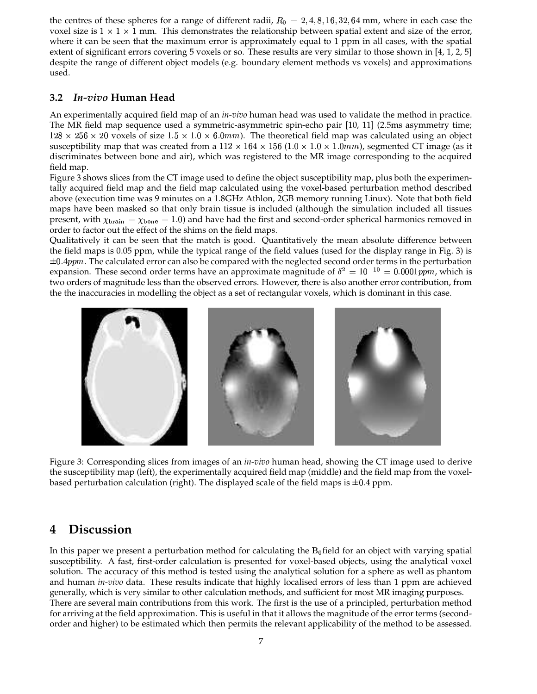the centres of these spheres for a range of different radii,  $R_0 = 2, 4, 8, 16, 32, 64$  mm, where in each case the voxel size is  $1 \times 1 \times 1$  mm. This demonstrates the relationship between spatial extent and size of the error, where it can be seen that the maximum error is approximately equal to 1 ppm in all cases, with the spatial extent of significant errors covering 5 voxels or so. These results are very similar to those shown in [4, 1, 2, 5] despite the range of different object models (e.g. boundary element methods vs voxels) and approximations used.

## **3.2** *In-vivo* **Human Head**

An experimentally acquired field map of an *in-vivo* human head was used to validate the method in practice. The MR field map sequence used a symmetric-asymmetric spin-echo pair [10, 11] (2.5ms asymmetry time;  $128 \times 256 \times 20$  voxels of size  $1.5 \times 1.0 \times 6.0$  mm). The theoretical field map was calculated using an object susceptibility map that was created from a  $112 \times 164 \times 156$  ( $1.0 \times 1.0 \times 1.0$ mm), segmented CT image (as it discriminates between bone and air), which was registered to the MR image corresponding to the acquired field map.

Figure 3 shows slices from the CT image used to define the object susceptibility map, plus both the experimentally acquired field map and the field map calculated using the voxel-based perturbation method described above (execution time was 9 minutes on a 1.8GHz Athlon, 2GB memory running Linux). Note that both field maps have been masked so that only brain tissue is included (although the simulation included all tissues present, with  $\chi_{\text{brain}} = \chi_{\text{bone}} = 1.0$  and have had the first and second-order spherical harmonics removed in order to factor out the effect of the shims on the field maps.

Qualitatively it can be seen that the match is good. Quantitatively the mean absolute difference between the field maps is 0.05 ppm, while the typical range of the field values (used for the display range in Fig. 3) is  $\pm 0.4 ppm$ . The calculated error can also be compared with the neglected second order terms in the perturbation expansion. These second order terms have an approximate magnitude of  $\delta^2 = 10^{-10} = 0.0001$ pm, which is two orders of magnitude less than the observed errors. However, there is also another error contribution, from the the inaccuracies in modelling the object as a set of rectangular voxels, which is dominant in this case.



Figure 3: Corresponding slices from images of an *in-vivo* human head, showing the CT image used to derive the susceptibility map (left), the experimentally acquired field map (middle) and the field map from the voxelbased perturbation calculation (right). The displayed scale of the field maps is  $\pm 0.4$  ppm.

## **4 Discussion**

In this paper we present a perturbation method for calculating the  $B_0$  field for an object with varying spatial susceptibility. A fast, first-order calculation is presented for voxel-based objects, using the analytical voxel solution. The accuracy of this method is tested using the analytical solution for a sphere as well as phantom and human *in-vivo* data. These results indicate that highly localised errors of less than 1 ppm are achieved generally, which is very similar to other calculation methods, and sufficient for most MR imaging purposes. There are several main contributions from this work. The first is the use of a principled, perturbation method for arriving at the field approximation. This is useful in that it allows the magnitude of the error terms (secondorder and higher) to be estimated which then permits the relevant applicability of the method to be assessed.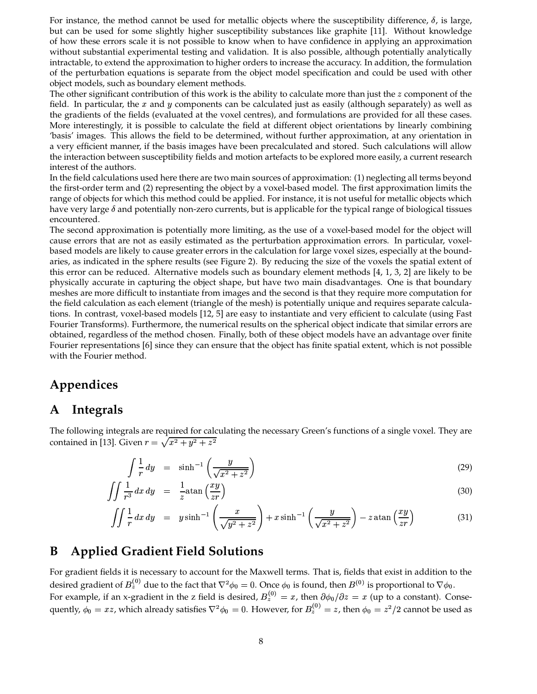For instance, the method cannot be used for metallic objects where the susceptibility difference,  $\delta$ , is large, but can be used for some slightly higher susceptibility substances like graphite [11]. Without knowledge of how these errors scale it is not possible to know when to have confidence in applying an approximation without substantial experimental testing and validation. It is also possible, although potentially analytically intractable, to extend the approximation to higher orders to increase the accuracy. In addition, the formulation of the perturbation equations is separate from the object model specification and could be used with other object models, such as boundary element methods.

The other significant contribution of this work is the ability to calculate more than just the  $z$  component of the field. In particular, the  $x$  and  $y$  components can be calculated just as easily (although separately) as well as the gradients of the fields (evaluated at the voxel centres), and formulations are provided for all these cases. More interestingly, it is possible to calculate the field at different object orientations by linearly combining 'basis' images. This allows the field to be determined, without further approximation, at any orientation in a very efficient manner, if the basis images have been precalculated and stored. Such calculations will allow the interaction between susceptibility fields and motion artefacts to be explored more easily, a current research interest of the authors.

In the field calculations used here there are two main sources of approximation: (1) neglecting all terms beyond the first-order term and (2) representing the object by a voxel-based model. The first approximation limits the range of objects for which this method could be applied. For instance, it is not useful for metallic objects which have very large  $\delta$  and potentially non-zero currents, but is applicable for the typical range of biological tissues encountered.

The second approximation is potentially more limiting, as the use of a voxel-based model for the object will cause errors that are not as easily estimated as the perturbation approximation errors. In particular, voxelbased models are likely to cause greater errors in the calculation for large voxel sizes, especially at the boundaries, as indicated in the sphere results (see Figure 2). By reducing the size of the voxels the spatial extent of this error can be reduced. Alternative models such as boundary element methods [4, 1, 3, 2] are likely to be physically accurate in capturing the object shape, but have two main disadvantages. One is that boundary meshes are more difficult to instantiate from images and the second is that they require more computation for the field calculation as each element (triangle of the mesh) is potentially unique and requires separate calculations. In contrast, voxel-based models [12, 5] are easy to instantiate and very efficient to calculate (using Fast Fourier Transforms). Furthermore, the numerical results on the spherical object indicate that similar errors are obtained, regardless of the method chosen. Finally, both of these object models have an advantage over finite Fourier representations [6] since they can ensure that the object has finite spatial extent, which is not possible with the Fourier method.

# **Appendices**

# **A Integrals**

The following integrals are required for calculating the necessary Green's functions of a single voxel. They are contained in [13]. Given  $r = \sqrt{x^2 + y^2 + z^2}$ 

$$
\int \frac{1}{r} dy = \sinh^{-1}\left(\frac{y}{\sqrt{x^2 + z^2}}\right) \tag{29}
$$

$$
\iint \frac{1}{r^3} dx dy = \frac{1}{z} \operatorname{atan} \left( \frac{xy}{zr} \right) \tag{30}
$$

$$
\iint \frac{1}{r} dx dy = y \sinh^{-1} \left( \frac{x}{\sqrt{y^2 + z^2}} \right) + x \sinh^{-1} \left( \frac{y}{\sqrt{x^2 + z^2}} \right) - z \tan \left( \frac{xy}{zr} \right) \tag{31}
$$

# **B Applied Gradient Field Solutions**

For gradient fields it is necessary to account for the Maxwell terms. That is, fields that exist in addition to the desired gradient of  $B_z^{(v)}$  due to the fact that  $\nabla^2 \phi_0 = 0$ . Once  $\phi_0$  is found, then  $B^{(0)}$  is proportional to  $\nabla \phi_0$ . For example, if an x-gradient in the z field is desired,  $B_z^{(0)} = x$ , then  $\partial \phi_0 / \partial z = x$  (up to a constant). Consequently,  $\phi_0=xz$ , which already satisfies  $\nabla^2\phi_0=0$ . However, for  $B_z^{(0)}=z$ , then  $\phi_0=z^2/2$  cannot be used as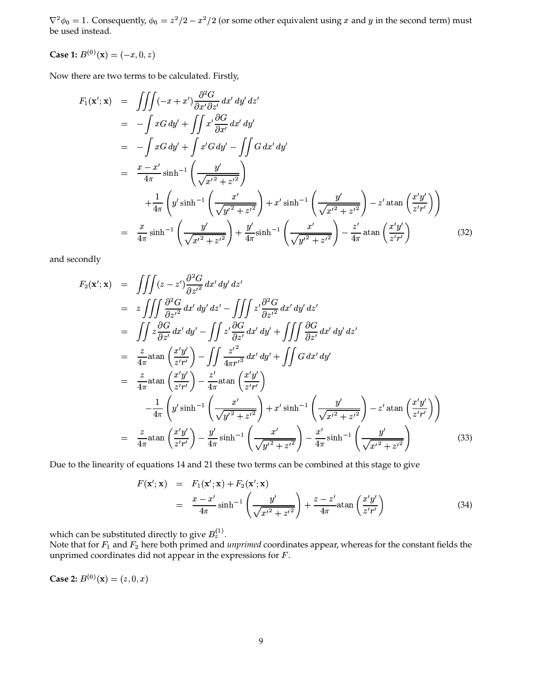$\nabla^2 \phi_0 = 1$ . Consequently,  $\phi_0 = z^2/2 - x^2/2$  (or some other equivalent using x and y in the second term) must be used instead.

**Case 1:**  $B^{(0)}(\mathbf{x}) = (-x, 0, z)$ 

Now there are two terms to be calculated. Firstly,

$$
F_1(\mathbf{x}'; \mathbf{x}) = \iiint (-x + x') \frac{\partial^2 G}{\partial x' \partial z'} dx' dy' dz'
$$
  
\n
$$
= -\int xG dy' + \iint x' \frac{\partial G}{\partial x'} dx' dy'
$$
  
\n
$$
= -\int xG dy' + \int x'G dy' - \iint G dx' dy'
$$
  
\n
$$
= \frac{x - x'}{4\pi} \sinh^{-1} \left( \frac{y'}{\sqrt{x'^2 + z'^2}} \right)
$$
  
\n
$$
+ \frac{1}{4\pi} \left( y' \sinh^{-1} \left( \frac{x'}{\sqrt{y'^2 + z'^2}} \right) + x' \sinh^{-1} \left( \frac{y'}{\sqrt{x'^2 + z'^2}} \right) - z' \tan \left( \frac{x'y'}{z'r'} \right) \right)
$$
  
\n
$$
= \frac{x}{4\pi} \sinh^{-1} \left( \frac{y'}{\sqrt{x'^2 + z'^2}} \right) + \frac{y'}{4\pi} \sinh^{-1} \left( \frac{x'}{\sqrt{y'^2 + z'^2}} \right) - \frac{z'}{4\pi} \tan \left( \frac{x'y'}{z'r'} \right)
$$
(32)

and secondly

$$
F_2(\mathbf{x}'; \mathbf{x}) = \iiint (z - z') \frac{\partial^2 G}{\partial z'^2} dx' dy' dz'
$$
  
\n
$$
= z \iiint \frac{\partial^2 G}{\partial z'^2} dx' dy' dz' - \iiint z' \frac{\partial^2 G}{\partial z'^2} dx' dy' dz'
$$
  
\n
$$
= \iint z \frac{\partial G}{\partial z'} dx' dy' - \iint z' \frac{\partial G}{\partial z'} dx' dy' + \iiint \frac{\partial G}{\partial z'} dx' dy' dz'
$$
  
\n
$$
= \frac{z}{4\pi} \operatorname{atan} \left( \frac{x'y'}{z'r'} \right) - \iint \frac{z'^2}{4\pi r'^3} dx' dy' + \iint G dx' dy'
$$
  
\n
$$
= \frac{z}{4\pi} \operatorname{atan} \left( \frac{x'y'}{z'r'} \right) - \frac{z'}{4\pi} \operatorname{atan} \left( \frac{x'y'}{z'r'} \right)
$$
  
\n
$$
- \frac{1}{4\pi} \left( y' \sinh^{-1} \left( \frac{x'}{\sqrt{y'^2 + z'^2}} \right) + x' \sinh^{-1} \left( \frac{y'}{\sqrt{x'^2 + z'^2}} \right) - z' \operatorname{atan} \left( \frac{x'y'}{z'r'} \right) \right)
$$
  
\n
$$
= \frac{z}{4\pi} \operatorname{atan} \left( \frac{x'y'}{z'r'} \right) - \frac{y'}{4\pi} \sinh^{-1} \left( \frac{x'}{\sqrt{y'^2 + z'^2}} \right) - \frac{x'}{4\pi} \sinh^{-1} \left( \frac{y'}{\sqrt{x'^2 + z'^2}} \right)
$$
(33)

Due to the linearity of equations 14 and 21 these two terms can be combined at this stage to give

$$
F(\mathbf{x}'; \mathbf{x}) = F_1(\mathbf{x}'; \mathbf{x}) + F_2(\mathbf{x}'; \mathbf{x})
$$
  
= 
$$
\frac{x - x'}{4\pi} \sinh^{-1} \left( \frac{y'}{\sqrt{x'^2 + z'^2}} \right) + \frac{z - z'}{4\pi} \text{atan} \left( \frac{x'y'}{z'r'} \right)
$$
(34)

which can be substituted directly to give  $B_z^{(1)}$ .

Note that for  $F_1$  and  $F_2$  here both primed and *unprimed* coordinates appear, whereas for the constant fields the unprimed coordinates did not appear in the expressions for  $F$ .

**Case 2:**  $B^{(0)}(\mathbf{x}) = (z, 0, x)$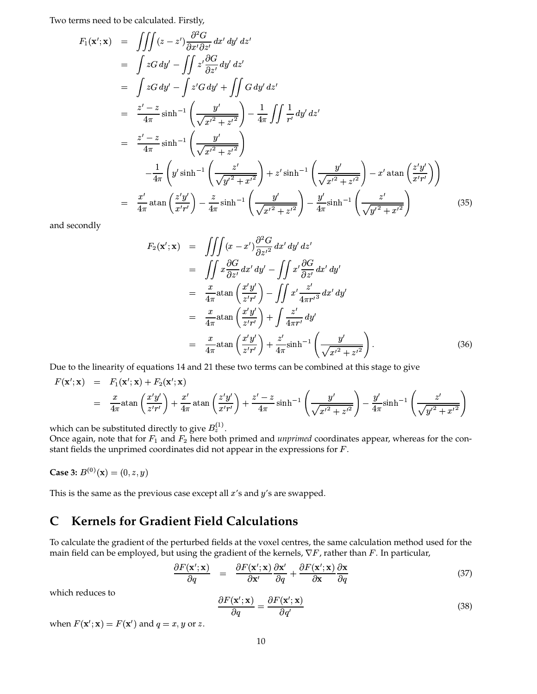Two terms need to be calculated. Firstly,

$$
F_1(\mathbf{x}'; \mathbf{x}) = \iiint (z - z') \frac{\partial^2 G}{\partial x' \partial z'} dx' dy' dz'\n= \int z G dy' - \iint z' \frac{\partial G}{\partial z'} dy' dz'\n= \int z G dy' - \int z' G dy' + \iint G dy' dz'\n= \frac{z' - z}{4\pi} \sinh^{-1} \left( \frac{y'}{\sqrt{x'^2 + z'^2}} \right) - \frac{1}{4\pi} \iint \frac{1}{r'} dy' dz'\n= \frac{z' - z}{4\pi} \sinh^{-1} \left( \frac{y'}{\sqrt{x'^2 + z'^2}} \right)\n- \frac{1}{4\pi} \left( y' \sinh^{-1} \left( \frac{z'}{\sqrt{y'^2 + x'^2}} \right) + z' \sinh^{-1} \left( \frac{y'}{\sqrt{x'^2 + z'^2}} \right) - x' \tan \left( \frac{z'y'}{x'r'} \right) \right)\n= \frac{x'}{4\pi} \tan \left( \frac{z'y'}{x'r'} \right) - \frac{z}{4\pi} \sinh^{-1} \left( \frac{y'}{\sqrt{x'^2 + z'^2}} \right) - \frac{y'}{4\pi} \sinh^{-1} \left( \frac{z'}{\sqrt{y'^2 + x'^2}} \right)
$$
(35)

and secondly

$$
F_2(\mathbf{x}'; \mathbf{x}) = \iiint (x - x') \frac{\partial^2 G}{\partial z'} dx' dy' dz'
$$
  
\n
$$
= \iint x \frac{\partial G}{\partial z'} dx' dy' - \iint x' \frac{\partial G}{\partial z'} dx' dy'
$$
  
\n
$$
= \frac{x}{4\pi} \operatorname{atan} \left( \frac{x'y'}{z'r'} \right) - \iint x' \frac{z'}{4\pi r'^3} dx' dy'
$$
  
\n
$$
= \frac{x}{4\pi} \operatorname{atan} \left( \frac{x'y'}{z'r'} \right) + \int \frac{z'}{4\pi r'} dy'
$$
  
\n
$$
= \frac{x}{4\pi} \operatorname{atan} \left( \frac{x'y'}{z'r'} \right) + \frac{z'}{4\pi} \sinh^{-1} \left( \frac{y'}{\sqrt{x'^2 + z'^2}} \right).
$$
(36)

Due to the linearity of equations 14 and 21 these two terms can be combined at this stage to give

$$
F(\mathbf{x}';\mathbf{x}) = F_1(\mathbf{x}';\mathbf{x}) + F_2(\mathbf{x}';\mathbf{x})
$$
  
=  $\frac{x}{4\pi} \operatorname{atan}\left(\frac{x'y'}{z'r'}\right) + \frac{x'}{4\pi} \operatorname{atan}\left(\frac{z'y'}{x'r'}\right) + \frac{z'-z}{4\pi} \sinh^{-1}\left(\frac{y'}{\sqrt{x'^2 + z'^2}}\right) - \frac{y'}{4\pi} \sinh^{-1}\left(\frac{z'}{\sqrt{y'^2 + x'^2}}\right)$ 

which can be substituted directly to give  $B_z^{(1)}$ .

Once again, note that for  $F_1$  and  $F_2$  here both primed and *unprimed* coordinates appear, whereas for the constant fields the unprimed coordinates did not appear in the expressions for  $F$ .

**Case 3:**  $B^{(0)}(\mathbf{x}) = (0, z, y)$ 

This is the same as the previous case except all  $x'$ s and  $y'$ s are swapped.

# **C Kernels for Gradient Field Calculations**

To calculate the gradient of the perturbed fields at the voxel centres, the same calculation method used for the main field can be employed, but using the gradient of the kernels,  $\nabla F$ , rather than F. In particular,

$$
\frac{\partial F(\mathbf{x}'; \mathbf{x})}{\partial q} = \frac{\partial F(\mathbf{x}'; \mathbf{x})}{\partial \mathbf{x}'} \frac{\partial \mathbf{x}'}{\partial q} + \frac{\partial F(\mathbf{x}'; \mathbf{x})}{\partial \mathbf{x}} \frac{\partial \mathbf{x}}{\partial q}
$$
(37)

which reduces to

$$
\frac{\partial F(\mathbf{x}'; \mathbf{x})}{\partial q} = \frac{\partial F(\mathbf{x}'; \mathbf{x})}{\partial q'}\tag{38}
$$

when  $F(\mathbf{x}'; \mathbf{x}) = F(\mathbf{x}')$  and  $q = x, y$  or z.